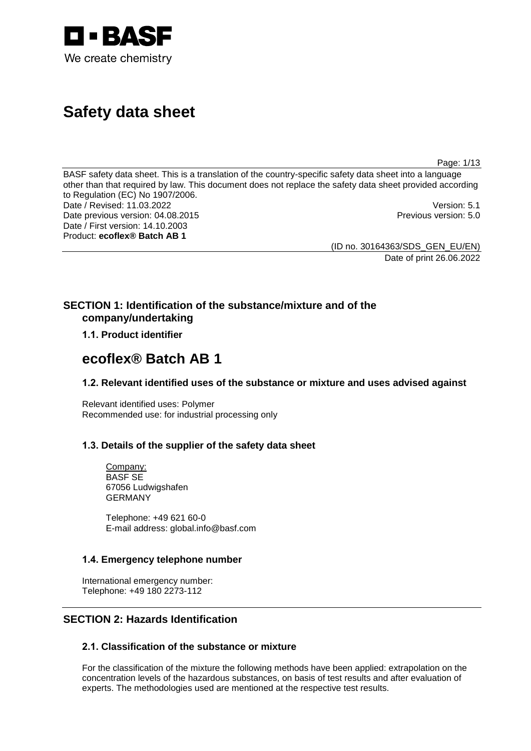

# **Safety data sheet**

Page: 1/13

BASF safety data sheet. This is a translation of the country-specific safety data sheet into a language other than that required by law. This document does not replace the safety data sheet provided according to Regulation (EC) No 1907/2006. Date / Revised: 11.03.2022<br>Date previous version: 04.08.2015 Date previous version: 04.08.2015 Date / First version: 14.10.2003 Product: **ecoflex® Batch AB 1**

(ID no. 30164363/SDS\_GEN\_EU/EN)

Date of print 26.06.2022

## **SECTION 1: Identification of the substance/mixture and of the company/undertaking**

## **1.1. Product identifier**

## **ecoflex® Batch AB 1**

## **1.2. Relevant identified uses of the substance or mixture and uses advised against**

Relevant identified uses: Polymer Recommended use: for industrial processing only

## **1.3. Details of the supplier of the safety data sheet**

Company: BASF SE 67056 Ludwigshafen GERMANY

Telephone: +49 621 60-0 E-mail address: global.info@basf.com

## **1.4. Emergency telephone number**

International emergency number: Telephone: +49 180 2273-112

## **SECTION 2: Hazards Identification**

## **2.1. Classification of the substance or mixture**

For the classification of the mixture the following methods have been applied: extrapolation on the concentration levels of the hazardous substances, on basis of test results and after evaluation of experts. The methodologies used are mentioned at the respective test results.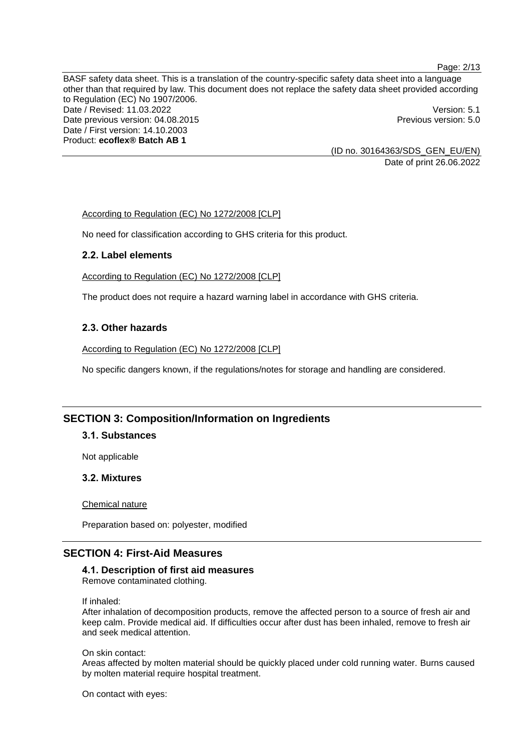Page: 2/13

BASF safety data sheet. This is a translation of the country-specific safety data sheet into a language other than that required by law. This document does not replace the safety data sheet provided according to Regulation (EC) No 1907/2006. Date / Revised: 11.03.2022 Version: 5.1 Date previous version: 04.08.2015 **Previous version: 5.0** Previous version: 5.0 Date / First version: 14.10.2003 Product: **ecoflex® Batch AB 1**

> (ID no. 30164363/SDS\_GEN\_EU/EN) Date of print 26.06.2022

According to Regulation (EC) No 1272/2008 [CLP]

No need for classification according to GHS criteria for this product.

## **2.2. Label elements**

According to Regulation (EC) No 1272/2008 [CLP]

The product does not require a hazard warning label in accordance with GHS criteria.

#### **2.3. Other hazards**

According to Regulation (EC) No 1272/2008 [CLP]

No specific dangers known, if the regulations/notes for storage and handling are considered.

## **SECTION 3: Composition/Information on Ingredients**

#### **3.1. Substances**

Not applicable

#### **3.2. Mixtures**

Chemical nature

Preparation based on: polyester, modified

## **SECTION 4: First-Aid Measures**

#### **4.1. Description of first aid measures**

Remove contaminated clothing.

#### If inhaled:

After inhalation of decomposition products, remove the affected person to a source of fresh air and keep calm. Provide medical aid. If difficulties occur after dust has been inhaled, remove to fresh air and seek medical attention.

#### On skin contact:

Areas affected by molten material should be quickly placed under cold running water. Burns caused by molten material require hospital treatment.

On contact with eyes: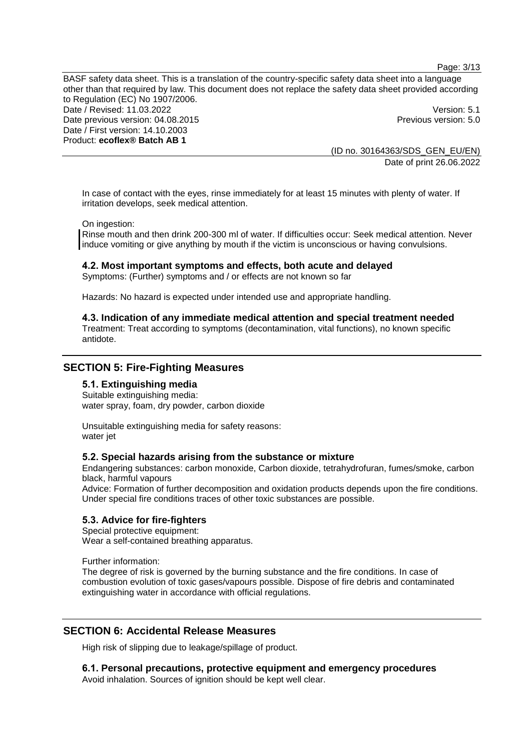Page: 3/13

BASF safety data sheet. This is a translation of the country-specific safety data sheet into a language other than that required by law. This document does not replace the safety data sheet provided according to Regulation (EC) No 1907/2006. Date / Revised: 11.03.2022 **Version: 5.1** Date previous version: 04.08.2015 **Previous version: 5.0 Previous version: 5.0 Previous version: 5.0** Date / First version: 14.10.2003 Product: **ecoflex® Batch AB 1**

> (ID no. 30164363/SDS\_GEN\_EU/EN) Date of print 26.06.2022

In case of contact with the eyes, rinse immediately for at least 15 minutes with plenty of water. If irritation develops, seek medical attention.

On ingestion:

Rinse mouth and then drink 200-300 ml of water. If difficulties occur: Seek medical attention. Never induce vomiting or give anything by mouth if the victim is unconscious or having convulsions.

#### **4.2. Most important symptoms and effects, both acute and delayed**

Symptoms: (Further) symptoms and / or effects are not known so far

Hazards: No hazard is expected under intended use and appropriate handling.

#### **4.3. Indication of any immediate medical attention and special treatment needed**

Treatment: Treat according to symptoms (decontamination, vital functions), no known specific antidote.

#### **SECTION 5: Fire-Fighting Measures**

#### **5.1. Extinguishing media**

Suitable extinguishing media: water spray, foam, dry powder, carbon dioxide

Unsuitable extinguishing media for safety reasons: water jet

#### **5.2. Special hazards arising from the substance or mixture**

Endangering substances: carbon monoxide, Carbon dioxide, tetrahydrofuran, fumes/smoke, carbon black, harmful vapours

Advice: Formation of further decomposition and oxidation products depends upon the fire conditions. Under special fire conditions traces of other toxic substances are possible.

#### **5.3. Advice for fire-fighters**

Special protective equipment: Wear a self-contained breathing apparatus.

Further information:

The degree of risk is governed by the burning substance and the fire conditions. In case of combustion evolution of toxic gases/vapours possible. Dispose of fire debris and contaminated extinguishing water in accordance with official regulations.

## **SECTION 6: Accidental Release Measures**

High risk of slipping due to leakage/spillage of product.

**6.1. Personal precautions, protective equipment and emergency procedures**

Avoid inhalation. Sources of ignition should be kept well clear.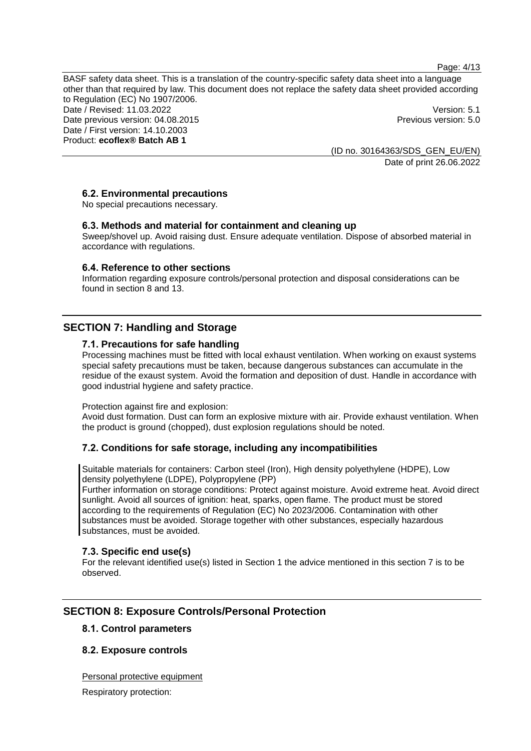Page: 4/13

BASF safety data sheet. This is a translation of the country-specific safety data sheet into a language other than that required by law. This document does not replace the safety data sheet provided according to Regulation (EC) No 1907/2006. Date / Revised: 11.03.2022 Version: 5.1 Date previous version: 04.08.2015 **Previous version: 5.0 Previous version: 5.0 Previous version: 5.0** Date / First version: 14.10.2003 Product: **ecoflex® Batch AB 1**

> (ID no. 30164363/SDS\_GEN\_EU/EN) Date of print 26.06.2022

## **6.2. Environmental precautions**

No special precautions necessary.

## **6.3. Methods and material for containment and cleaning up**

Sweep/shovel up. Avoid raising dust. Ensure adequate ventilation. Dispose of absorbed material in accordance with regulations.

#### **6.4. Reference to other sections**

Information regarding exposure controls/personal protection and disposal considerations can be found in section 8 and 13.

## **SECTION 7: Handling and Storage**

#### **7.1. Precautions for safe handling**

Processing machines must be fitted with local exhaust ventilation. When working on exaust systems special safety precautions must be taken, because dangerous substances can accumulate in the residue of the exaust system. Avoid the formation and deposition of dust. Handle in accordance with good industrial hygiene and safety practice.

#### Protection against fire and explosion:

Avoid dust formation. Dust can form an explosive mixture with air. Provide exhaust ventilation. When the product is ground (chopped), dust explosion regulations should be noted.

## **7.2. Conditions for safe storage, including any incompatibilities**

Suitable materials for containers: Carbon steel (Iron), High density polyethylene (HDPE), Low density polyethylene (LDPE), Polypropylene (PP)

Further information on storage conditions: Protect against moisture. Avoid extreme heat. Avoid direct sunlight. Avoid all sources of ignition: heat, sparks, open flame. The product must be stored according to the requirements of Regulation (EC) No 2023/2006. Contamination with other substances must be avoided. Storage together with other substances, especially hazardous substances, must be avoided.

#### **7.3. Specific end use(s)**

For the relevant identified use(s) listed in Section 1 the advice mentioned in this section 7 is to be observed.

## **SECTION 8: Exposure Controls/Personal Protection**

#### **8.1. Control parameters**

## **8.2. Exposure controls**

Personal protective equipment

Respiratory protection: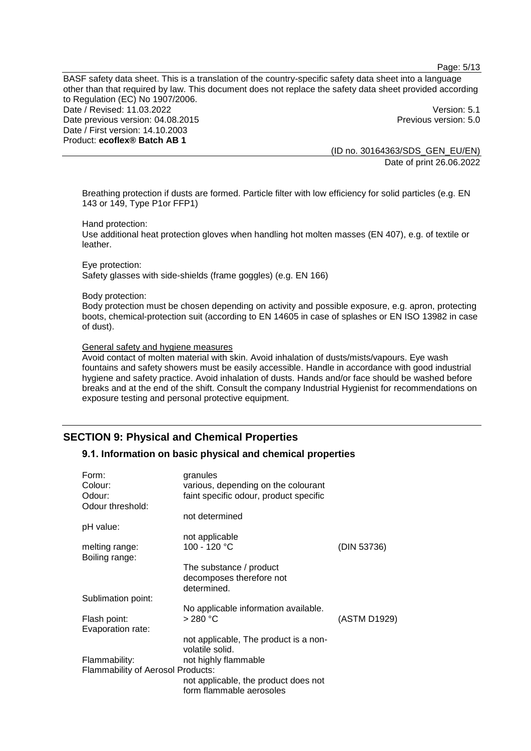Page: 5/13

BASF safety data sheet. This is a translation of the country-specific safety data sheet into a language other than that required by law. This document does not replace the safety data sheet provided according to Regulation (EC) No 1907/2006. Date / Revised: 11.03.2022 **Version: 5.1** Date previous version: 04.08.2015 **Previous version: 5.0 Previous version: 5.0 Previous version: 5.0** Date / First version: 14.10.2003 Product: **ecoflex® Batch AB 1**

> (ID no. 30164363/SDS\_GEN\_EU/EN) Date of print 26.06.2022

Breathing protection if dusts are formed. Particle filter with low efficiency for solid particles (e.g. EN 143 or 149, Type P1or FFP1)

Hand protection:

Use additional heat protection gloves when handling hot molten masses (EN 407), e.g. of textile or leather.

Eye protection: Safety glasses with side-shields (frame goggles) (e.g. EN 166)

Body protection:

Body protection must be chosen depending on activity and possible exposure, e.g. apron, protecting boots, chemical-protection suit (according to EN 14605 in case of splashes or EN ISO 13982 in case of dust).

General safety and hygiene measures

Avoid contact of molten material with skin. Avoid inhalation of dusts/mists/vapours. Eye wash fountains and safety showers must be easily accessible. Handle in accordance with good industrial hygiene and safety practice. Avoid inhalation of dusts. Hands and/or face should be washed before breaks and at the end of the shift. Consult the company Industrial Hygienist for recommendations on exposure testing and personal protective equipment.

## **SECTION 9: Physical and Chemical Properties**

## **9.1. Information on basic physical and chemical properties**

| Form:                                    | granules                               |              |
|------------------------------------------|----------------------------------------|--------------|
| Colour:                                  | various, depending on the colourant    |              |
| Odour:                                   | faint specific odour, product specific |              |
| Odour threshold:                         |                                        |              |
|                                          | not determined                         |              |
| pH value:                                |                                        |              |
|                                          | not applicable                         |              |
| melting range:                           | 100 - 120 °C                           | (DIN 53736)  |
| Boiling range:                           |                                        |              |
|                                          | The substance / product                |              |
|                                          | decomposes therefore not               |              |
|                                          | determined.                            |              |
| Sublimation point:                       |                                        |              |
|                                          | No applicable information available.   |              |
| Flash point:                             | $>280$ °C                              | (ASTM D1929) |
| Evaporation rate:                        |                                        |              |
|                                          | not applicable, The product is a non-  |              |
|                                          | volatile solid.                        |              |
| Flammability:                            | not highly flammable                   |              |
| <b>Flammability of Aerosol Products:</b> |                                        |              |
|                                          |                                        |              |
|                                          | not applicable, the product does not   |              |
|                                          | form flammable aerosoles               |              |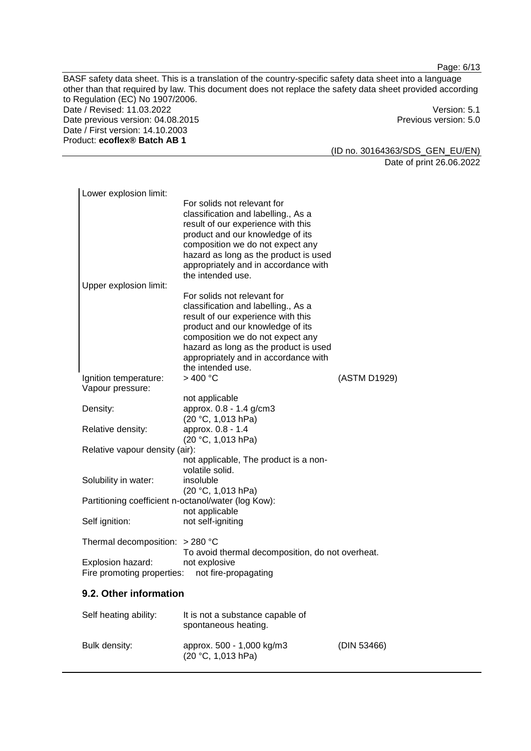Page: 6/13

BASF safety data sheet. This is a translation of the country-specific safety data sheet into a language other than that required by law. This document does not replace the safety data sheet provided according to Regulation (EC) No 1907/2006. Date / Revised: 11.03.2022<br>Date previous version: 04.08.2015 Version: 5.0 Date previous version: 04.08.2015 Date / First version: 14.10.2003 Product: **ecoflex® Batch AB 1**

(ID no. 30164363/SDS\_GEN\_EU/EN) Date of print 26.06.2022

(DIN 53466)

| Lower explosion limit:                                                    |                                                                                                                                                                                                                                                                                        |              |  |  |
|---------------------------------------------------------------------------|----------------------------------------------------------------------------------------------------------------------------------------------------------------------------------------------------------------------------------------------------------------------------------------|--------------|--|--|
| Upper explosion limit:                                                    | For solids not relevant for<br>classification and labelling., As a<br>result of our experience with this<br>product and our knowledge of its<br>composition we do not expect any<br>hazard as long as the product is used<br>appropriately and in accordance with<br>the intended use. |              |  |  |
|                                                                           | For solids not relevant for                                                                                                                                                                                                                                                            |              |  |  |
|                                                                           | classification and labelling., As a<br>result of our experience with this<br>product and our knowledge of its<br>composition we do not expect any<br>hazard as long as the product is used<br>appropriately and in accordance with<br>the intended use.                                |              |  |  |
| Ignition temperature:<br>Vapour pressure:                                 | >400 °C                                                                                                                                                                                                                                                                                | (ASTM D1929) |  |  |
|                                                                           | not applicable                                                                                                                                                                                                                                                                         |              |  |  |
| Density:                                                                  | approx. 0.8 - 1.4 g/cm3<br>(20 °C, 1,013 hPa)                                                                                                                                                                                                                                          |              |  |  |
| Relative density:                                                         | approx. 0.8 - 1.4                                                                                                                                                                                                                                                                      |              |  |  |
| (20 °C, 1,013 hPa)<br>Relative vapour density (air):                      |                                                                                                                                                                                                                                                                                        |              |  |  |
|                                                                           | not applicable, The product is a non-<br>volatile solid.                                                                                                                                                                                                                               |              |  |  |
| Solubility in water:                                                      | insoluble                                                                                                                                                                                                                                                                              |              |  |  |
| (20 °C, 1,013 hPa)<br>Partitioning coefficient n-octanol/water (log Kow): |                                                                                                                                                                                                                                                                                        |              |  |  |
|                                                                           | not applicable                                                                                                                                                                                                                                                                         |              |  |  |
| Self ignition:                                                            | not self-igniting                                                                                                                                                                                                                                                                      |              |  |  |
| Thermal decomposition: $>$ 280 °C                                         | To avoid thermal decomposition, do not overheat.                                                                                                                                                                                                                                       |              |  |  |
| Explosion hazard:<br>Fire promoting properties:                           | not explosive<br>not fire-propagating                                                                                                                                                                                                                                                  |              |  |  |
| 9.2. Other information                                                    |                                                                                                                                                                                                                                                                                        |              |  |  |
| Self heating ability:                                                     | It is not a substance capable of<br>spontaneous heating.                                                                                                                                                                                                                               |              |  |  |

Bulk density: approx. 500 - 1,000 kg/m3

(20 °C, 1,013 hPa)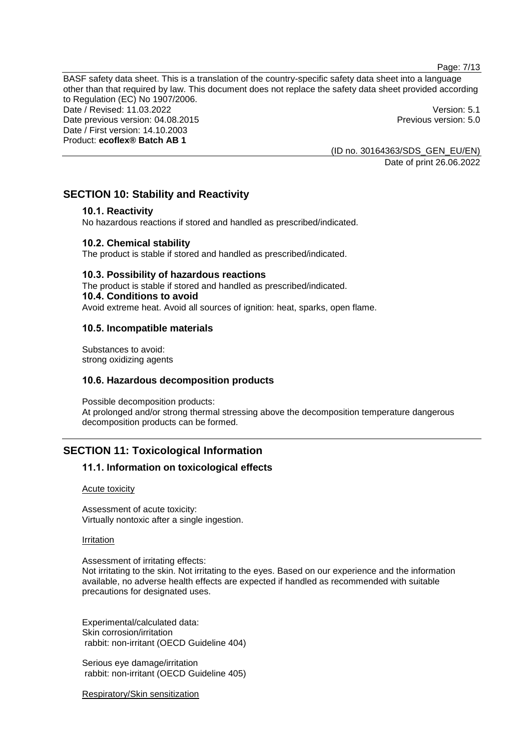Page: 7/13

BASF safety data sheet. This is a translation of the country-specific safety data sheet into a language other than that required by law. This document does not replace the safety data sheet provided according to Regulation (EC) No 1907/2006. Date / Revised: 11.03.2022 Version: 5.1 Date previous version: 04.08.2015 **Previous version: 5.0** Previous version: 5.0 Date / First version: 14.10.2003 Product: **ecoflex® Batch AB 1**

> (ID no. 30164363/SDS\_GEN\_EU/EN) Date of print 26.06.2022

## **SECTION 10: Stability and Reactivity**

#### **10.1. Reactivity**

No hazardous reactions if stored and handled as prescribed/indicated.

#### **10.2. Chemical stability**

The product is stable if stored and handled as prescribed/indicated.

#### **10.3. Possibility of hazardous reactions**

The product is stable if stored and handled as prescribed/indicated. **10.4. Conditions to avoid** Avoid extreme heat. Avoid all sources of ignition: heat, sparks, open flame.

#### **10.5. Incompatible materials**

Substances to avoid: strong oxidizing agents

## **10.6. Hazardous decomposition products**

Possible decomposition products: At prolonged and/or strong thermal stressing above the decomposition temperature dangerous decomposition products can be formed.

## **SECTION 11: Toxicological Information**

## **11.1. Information on toxicological effects**

#### Acute toxicity

Assessment of acute toxicity: Virtually nontoxic after a single ingestion.

Irritation

Assessment of irritating effects: Not irritating to the skin. Not irritating to the eyes. Based on our experience and the information available, no adverse health effects are expected if handled as recommended with suitable precautions for designated uses.

Experimental/calculated data: Skin corrosion/irritation rabbit: non-irritant (OECD Guideline 404)

Serious eye damage/irritation rabbit: non-irritant (OECD Guideline 405)

Respiratory/Skin sensitization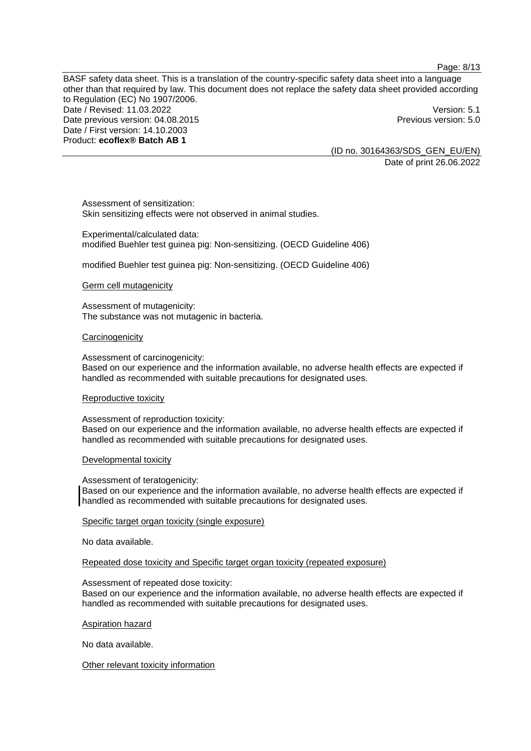Page: 8/13

BASF safety data sheet. This is a translation of the country-specific safety data sheet into a language other than that required by law. This document does not replace the safety data sheet provided according to Regulation (EC) No 1907/2006. Date / Revised: 11.03.2022 Version: 5.1 Date previous version: 04.08.2015 **Previous version: 5.0** Previous version: 5.0 Date / First version: 14.10.2003 Product: **ecoflex® Batch AB 1**

> (ID no. 30164363/SDS\_GEN\_EU/EN) Date of print 26.06.2022

Assessment of sensitization: Skin sensitizing effects were not observed in animal studies.

Experimental/calculated data: modified Buehler test guinea pig: Non-sensitizing. (OECD Guideline 406)

modified Buehler test guinea pig: Non-sensitizing. (OECD Guideline 406)

#### Germ cell mutagenicity

Assessment of mutagenicity: The substance was not mutagenic in bacteria.

#### **Carcinogenicity**

Assessment of carcinogenicity:

Based on our experience and the information available, no adverse health effects are expected if handled as recommended with suitable precautions for designated uses.

#### Reproductive toxicity

Assessment of reproduction toxicity: Based on our experience and the information available, no adverse health effects are expected if handled as recommended with suitable precautions for designated uses.

#### Developmental toxicity

Assessment of teratogenicity:

Based on our experience and the information available, no adverse health effects are expected if handled as recommended with suitable precautions for designated uses.

#### Specific target organ toxicity (single exposure)

No data available.

Repeated dose toxicity and Specific target organ toxicity (repeated exposure)

Assessment of repeated dose toxicity:

Based on our experience and the information available, no adverse health effects are expected if handled as recommended with suitable precautions for designated uses.

Aspiration hazard

No data available.

Other relevant toxicity information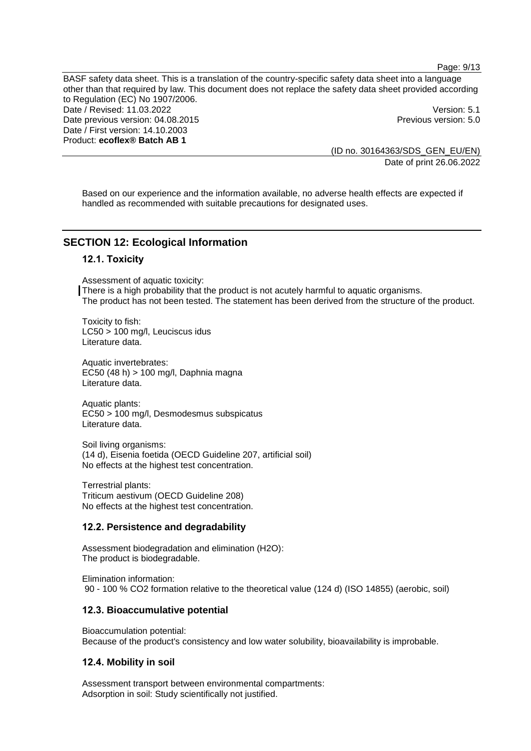Page: 9/13

BASF safety data sheet. This is a translation of the country-specific safety data sheet into a language other than that required by law. This document does not replace the safety data sheet provided according to Regulation (EC) No 1907/2006. Date / Revised: 11.03.2022 **Version: 5.1** Date previous version: 04.08.2015 **Previous version: 5.0** Previous version: 5.0 Date / First version: 14.10.2003 Product: **ecoflex® Batch AB 1**

> (ID no. 30164363/SDS\_GEN\_EU/EN) Date of print 26.06.2022

Based on our experience and the information available, no adverse health effects are expected if handled as recommended with suitable precautions for designated uses.

## **SECTION 12: Ecological Information**

#### **12.1. Toxicity**

Assessment of aquatic toxicity: There is a high probability that the product is not acutely harmful to aquatic organisms. The product has not been tested. The statement has been derived from the structure of the product.

Toxicity to fish: LC50 > 100 mg/l, Leuciscus idus Literature data.

Aquatic invertebrates: EC50 (48 h) > 100 mg/l, Daphnia magna Literature data.

Aquatic plants: EC50 > 100 mg/l, Desmodesmus subspicatus Literature data.

Soil living organisms: (14 d), Eisenia foetida (OECD Guideline 207, artificial soil) No effects at the highest test concentration.

Terrestrial plants: Triticum aestivum (OECD Guideline 208) No effects at the highest test concentration.

#### **12.2. Persistence and degradability**

Assessment biodegradation and elimination (H2O): The product is biodegradable.

Elimination information: 90 - 100 % CO2 formation relative to the theoretical value (124 d) (ISO 14855) (aerobic, soil)

#### **12.3. Bioaccumulative potential**

Bioaccumulation potential: Because of the product's consistency and low water solubility, bioavailability is improbable.

#### **12.4. Mobility in soil**

Assessment transport between environmental compartments: Adsorption in soil: Study scientifically not justified.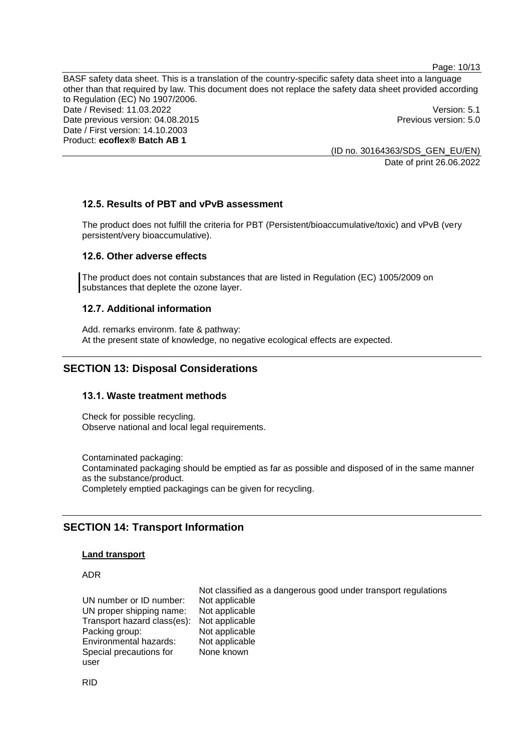Page: 10/13

BASF safety data sheet. This is a translation of the country-specific safety data sheet into a language other than that required by law. This document does not replace the safety data sheet provided according to Regulation (EC) No 1907/2006. Date / Revised: 11.03.2022 Version: 5.1 Date previous version: 04.08.2015 **Previous version: 5.0** Previous version: 5.0 Date / First version: 14.10.2003 Product: **ecoflex® Batch AB 1**

> (ID no. 30164363/SDS\_GEN\_EU/EN) Date of print 26.06.2022

## **12.5. Results of PBT and vPvB assessment**

The product does not fulfill the criteria for PBT (Persistent/bioaccumulative/toxic) and vPvB (very persistent/very bioaccumulative).

#### **12.6. Other adverse effects**

The product does not contain substances that are listed in Regulation (EC) 1005/2009 on substances that deplete the ozone layer.

#### **12.7. Additional information**

Add. remarks environm. fate & pathway: At the present state of knowledge, no negative ecological effects are expected.

## **SECTION 13: Disposal Considerations**

#### **13.1. Waste treatment methods**

Check for possible recycling. Observe national and local legal requirements.

Contaminated packaging: Contaminated packaging should be emptied as far as possible and disposed of in the same manner as the substance/product. Completely emptied packagings can be given for recycling.

## **SECTION 14: Transport Information**

#### **Land transport**

## ADR

UN number or ID number: Not applicable<br>UN proper shipping name: Not applicable UN proper shipping name: Transport hazard class(es): Not applicable Packing group: Not applicable<br>
Environmental hazards: Not applicable Environmental hazards: Special precautions for user

Not classified as a dangerous good under transport regulations None known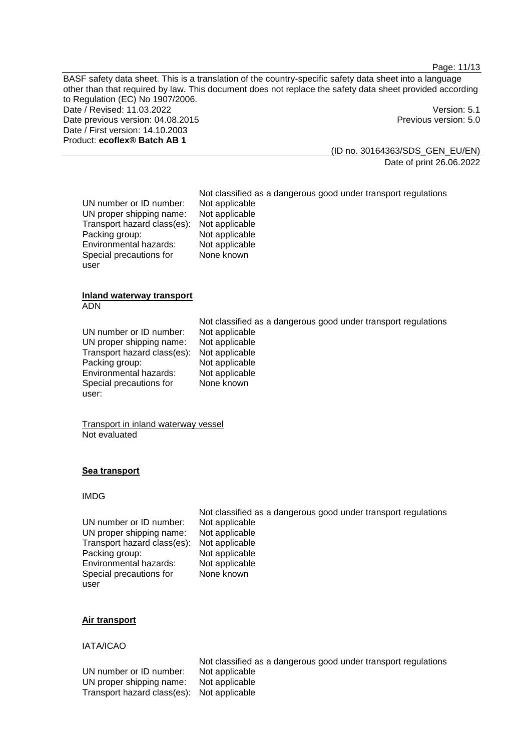Page: 11/13

BASF safety data sheet. This is a translation of the country-specific safety data sheet into a language other than that required by law. This document does not replace the safety data sheet provided according to Regulation (EC) No 1907/2006. Date / Revised: 11.03.2022 Version: 5.1 Date previous version: 04.08.2015 **Previous version: 5.0** Previous version: 5.0 Date / First version: 14.10.2003 Product: **ecoflex® Batch AB 1**

> (ID no. 30164363/SDS\_GEN\_EU/EN) Date of print 26.06.2022

UN number or ID number: Not applicable<br>UN proper shipping name: Not applicable UN proper shipping name: Not applicable<br>Transport hazard class(es): Not applicable Transport hazard class(es): Not applicable<br>Packing group: Not applicable Packing group: Not applicable<br>
Environmental hazards: Not applicable Environmental hazards: Special precautions for user

Not classified as a dangerous good under transport regulations None known

#### **Inland waterway transport** ADN

UN number or ID number: Not applicable<br>UN proper shipping name: Not applicable UN proper shipping name: Transport hazard class(es): Not applicable Packing group: Not applicable Environmental hazards: Not applicable Special precautions for user:

Not classified as a dangerous good under transport regulations None known

Transport in inland waterway vessel Not evaluated

## **Sea transport**

#### IMDG

Not classified as a dangerous good under transport regulations UN number or ID number: Not applicable<br>UN proper shipping name: Not applicable UN proper shipping name: Transport hazard class(es): Not applicable Packing group: Not applicable Environmental hazards: Not applicable Special precautions for user None known

## **Air transport**

#### IATA/ICAO

Not classified as a dangerous good under transport regulations UN number or ID number: Not applicable UN proper shipping name: Not applicable Transport hazard class(es): Not applicable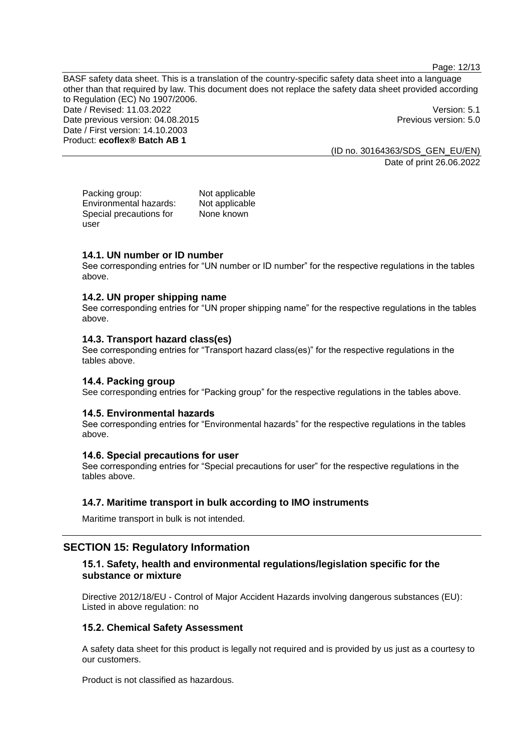Page: 12/13

BASF safety data sheet. This is a translation of the country-specific safety data sheet into a language other than that required by law. This document does not replace the safety data sheet provided according to Regulation (EC) No 1907/2006. Date / Revised: 11.03.2022 **Version: 5.1** Date previous version: 04.08.2015 **Previous version: 5.0** Previous version: 5.0 Date / First version: 14.10.2003 Product: **ecoflex® Batch AB 1**

> (ID no. 30164363/SDS\_GEN\_EU/EN) Date of print 26.06.2022

Packing group: Not applicable<br>
Environmental hazards: Not applicable Environmental hazards: Special precautions for user None known

#### **14.1. UN number or ID number**

See corresponding entries for "UN number or ID number" for the respective regulations in the tables above.

#### **14.2. UN proper shipping name**

See corresponding entries for "UN proper shipping name" for the respective regulations in the tables above.

#### **14.3. Transport hazard class(es)**

See corresponding entries for "Transport hazard class(es)" for the respective regulations in the tables above.

#### **14.4. Packing group**

See corresponding entries for "Packing group" for the respective regulations in the tables above.

#### **14.5. Environmental hazards**

See corresponding entries for "Environmental hazards" for the respective regulations in the tables above.

#### **14.6. Special precautions for user**

See corresponding entries for "Special precautions for user" for the respective regulations in the tables above.

## **14.7. Maritime transport in bulk according to IMO instruments**

Maritime transport in bulk is not intended.

## **SECTION 15: Regulatory Information**

#### **15.1. Safety, health and environmental regulations/legislation specific for the substance or mixture**

Directive 2012/18/EU - Control of Major Accident Hazards involving dangerous substances (EU): Listed in above regulation: no

#### **15.2. Chemical Safety Assessment**

A safety data sheet for this product is legally not required and is provided by us just as a courtesy to our customers.

Product is not classified as hazardous.